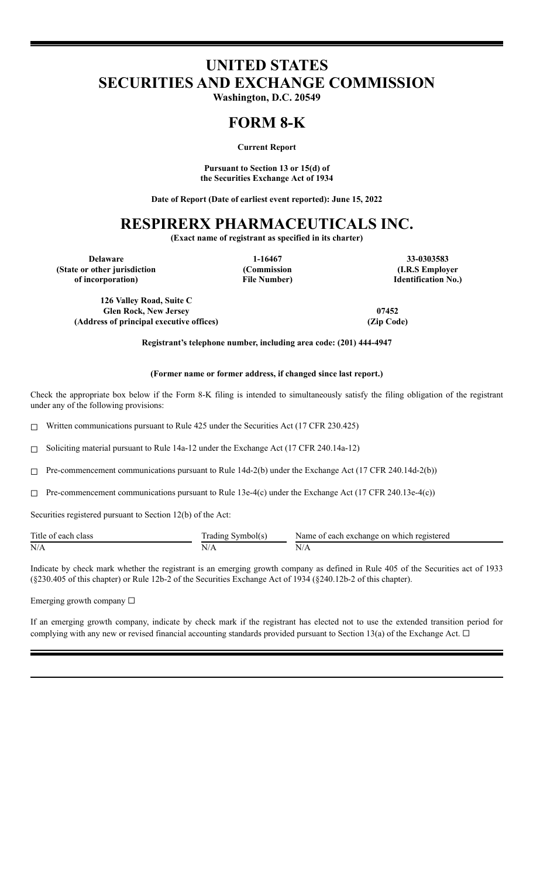# **UNITED STATES SECURITIES AND EXCHANGE COMMISSION**

**Washington, D.C. 20549**

### **FORM 8-K**

**Current Report**

**Pursuant to Section 13 or 15(d) of the Securities Exchange Act of 1934**

**Date of Report (Date of earliest event reported): June 15, 2022**

## **RESPIRERX PHARMACEUTICALS INC.**

**(Exact name of registrant as specified in its charter)**

**(State or other jurisdiction of incorporation)**

**(Commission File Number)**

**Delaware 1-16467 33-0303583 (I.R.S Employer Identification No.)**

**126 Valley Road, Suite C Glen Rock, New Jersey 07452 (Address of principal executive offices) (Zip Code)**

**Registrant's telephone number, including area code: (201) 444-4947**

#### **(Former name or former address, if changed since last report.)**

Check the appropriate box below if the Form 8-K filing is intended to simultaneously satisfy the filing obligation of the registrant under any of the following provisions:

☐ Written communications pursuant to Rule 425 under the Securities Act (17 CFR 230.425)

☐ Soliciting material pursuant to Rule 14a-12 under the Exchange Act (17 CFR 240.14a-12)

☐ Pre-commencement communications pursuant to Rule 14d-2(b) under the Exchange Act (17 CFR 240.14d-2(b))

 $\Box$  Pre-commencement communications pursuant to Rule 13e-4(c) under the Exchange Act (17 CFR 240.13e-4(c))

Securities registered pursuant to Section 12(b) of the Act:

| Title of each class | Symbol(s)<br>radıng | Name of each exchange on which registered |
|---------------------|---------------------|-------------------------------------------|
| N/A                 | $\mathbf{y}$        | $N/r_{\rm h}$                             |

Indicate by check mark whether the registrant is an emerging growth company as defined in Rule 405 of the Securities act of 1933 (§230.405 of this chapter) or Rule 12b-2 of the Securities Exchange Act of 1934 (§240.12b-2 of this chapter).

Emerging growth company ☐

If an emerging growth company, indicate by check mark if the registrant has elected not to use the extended transition period for complying with any new or revised financial accounting standards provided pursuant to Section 13(a) of the Exchange Act.  $\Box$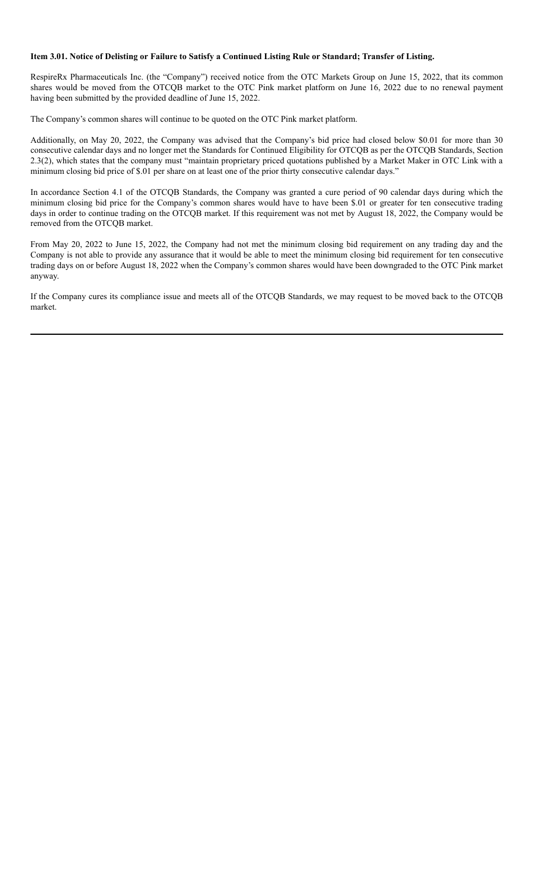### Item 3.01. Notice of Delisting or Failure to Satisfy a Continued Listing Rule or Standard; Transfer of Listing.

RespireRx Pharmaceuticals Inc. (the "Company") received notice from the OTC Markets Group on June 15, 2022, that its common shares would be moved from the OTCQB market to the OTC Pink market platform on June 16, 2022 due to no renewal payment having been submitted by the provided deadline of June 15, 2022.

The Company's common shares will continue to be quoted on the OTC Pink market platform.

Additionally, on May 20, 2022, the Company was advised that the Company's bid price had closed below \$0.01 for more than 30 consecutive calendar days and no longer met the Standards for Continued Eligibility for OTCQB as per the OTCQB Standards, Section 2.3(2), which states that the company must "maintain proprietary priced quotations published by a Market Maker in OTC Link with a minimum closing bid price of \$.01 per share on at least one of the prior thirty consecutive calendar days."

In accordance Section 4.1 of the OTCQB Standards, the Company was granted a cure period of 90 calendar days during which the minimum closing bid price for the Company's common shares would have to have been \$.01 or greater for ten consecutive trading days in order to continue trading on the OTCQB market. If this requirement was not met by August 18, 2022, the Company would be removed from the OTCQB market.

From May 20, 2022 to June 15, 2022, the Company had not met the minimum closing bid requirement on any trading day and the Company is not able to provide any assurance that it would be able to meet the minimum closing bid requirement for ten consecutive trading days on or before August 18, 2022 when the Company's common shares would have been downgraded to the OTC Pink market anyway.

If the Company cures its compliance issue and meets all of the OTCQB Standards, we may request to be moved back to the OTCQB market.